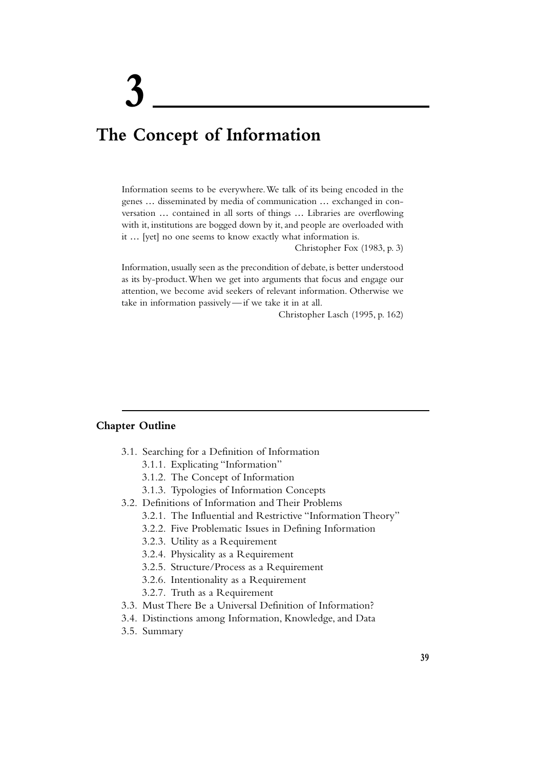# **The Concept of Information**

Information seems to be everywhere.We talk of its being encoded in the genes … disseminated by media of communication … exchanged in conversation … contained in all sorts of things … Libraries are overflowing with it, institutions are bogged down by it, and people are overloaded with it … [yet] no one seems to know exactly what information is.

Christopher Fox (1983, p. 3)

Information, usually seen as the precondition of debate, is better understood as its by-product.When we get into arguments that focus and engage our attention, we become avid seekers of relevant information. Otherwise we take in information passively — if we take it in at all.

Christopher Lasch (1995, p. 162)

## **Chapter Outline**

- 3.1. Searching for a Definition of Information
	- 3.1.1. Explicating "Information"
	- 3.1.2. The Concept of Information
	- 3.1.3. Typologies of Information Concepts
- 3.2. Definitions of Information and Their Problems
	- 3.2.1. The Influential and Restrictive "Information Theory"
	- 3.2.2. Five Problematic Issues in Defining Information
	- 3.2.3. Utility as a Requirement
	- 3.2.4. Physicality as a Requirement
	- 3.2.5. Structure/Process as a Requirement
	- 3.2.6. Intentionality as a Requirement
	- 3.2.7. Truth as a Requirement
- 3.3. Must There Be a Universal Definition of Information?
- 3.4. Distinctions among Information, Knowledge, and Data
- 3.5. Summary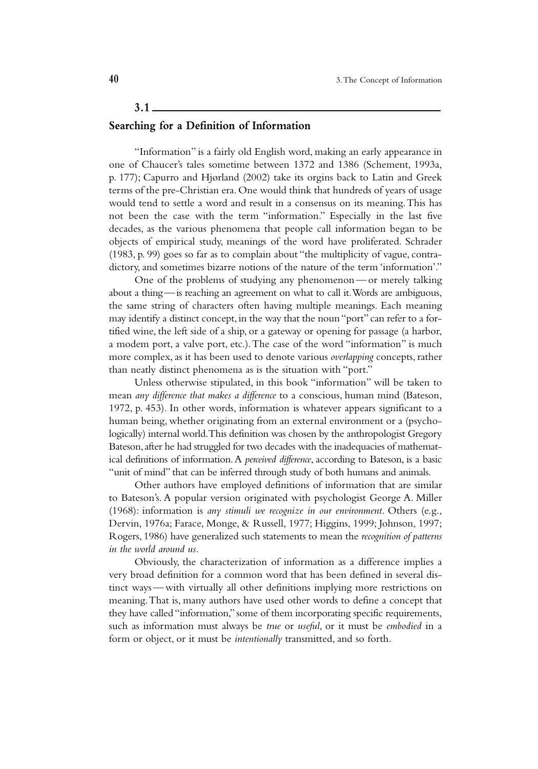# **Searching for a Definition of Information**

"Information" is a fairly old English word, making an early appearance in one of Chaucer's tales sometime between 1372 and 1386 (Schement, 1993a, p. 177); Capurro and Hjørland (2002) take its orgins back to Latin and Greek terms of the pre-Christian era. One would think that hundreds of years of usage would tend to settle a word and result in a consensus on its meaning.This has not been the case with the term "information." Especially in the last five decades, as the various phenomena that people call information began to be objects of empirical study, meanings of the word have proliferated. Schrader (1983, p. 99) goes so far as to complain about "the multiplicity of vague, contradictory, and sometimes bizarre notions of the nature of the term 'information'."

One of the problems of studying any phenomenon — or merely talking about a thing—is reaching an agreement on what to call it.Words are ambiguous, the same string of characters often having multiple meanings. Each meaning may identify a distinct concept, in the way that the noun "port" can refer to a fortified wine, the left side of a ship, or a gateway or opening for passage (a harbor, a modem port, a valve port, etc.).The case of the word "information" is much more complex, as it has been used to denote various *overlapping* concepts, rather than neatly distinct phenomena as is the situation with "port."

Unless otherwise stipulated, in this book "information" will be taken to mean *any difference that makes a difference* to a conscious, human mind (Bateson, 1972, p. 453). In other words, information is whatever appears significant to a human being, whether originating from an external environment or a (psychologically) internal world.This definition was chosen by the anthropologist Gregory Bateson,after he had struggled for two decades with the inadequacies of mathematical definitions of information.A *perceived difference*, according to Bateson, is a basic "unit of mind" that can be inferred through study of both humans and animals.

Other authors have employed definitions of information that are similar to Bateson's. A popular version originated with psychologist George A. Miller (1968): information is *any stimuli we recognize in our environment*. Others (e.g., Dervin, 1976a; Farace, Monge, & Russell, 1977; Higgins, 1999; Johnson, 1997; Rogers, 1986) have generalized such statements to mean the *recognition of patterns in the world around us*.

Obviously, the characterization of information as a difference implies a very broad definition for a common word that has been defined in several distinct ways — with virtually all other definitions implying more restrictions on meaning.That is, many authors have used other words to define a concept that they have called "information," some of them incorporating specific requirements, such as information must always be *true* or *useful*, or it must be *embodied* in a form or object, or it must be *intentionally* transmitted, and so forth.

**3.1**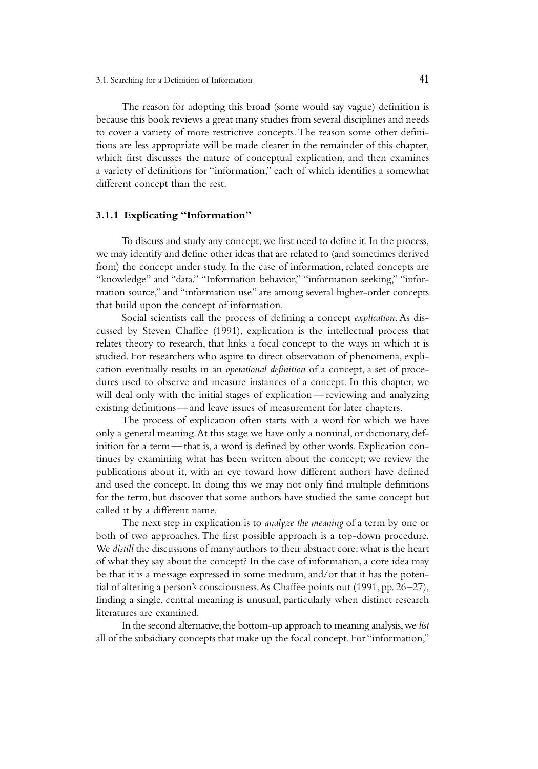The reason for adopting this broad (some would say vague) definition is because this book reviews a great many studies from several disciplines and needs to cover a variety of more restrictive concepts.The reason some other definitions are less appropriate will be made clearer in the remainder of this chapter, which first discusses the nature of conceptual explication, and then examines a variety of definitions for "information," each of which identifies a somewhat different concept than the rest.

### **3.1.1 Explicating "Information"**

To discuss and study any concept, we first need to define it. In the process, we may identify and define other ideas that are related to (and sometimes derived from) the concept under study. In the case of information, related concepts are "knowledge" and "data." "Information behavior," "information seeking," "information source," and "information use" are among several higher-order concepts that build upon the concept of information.

Social scientists call the process of defining a concept *explication*. As discussed by Steven Chaffee (1991), explication is the intellectual process that relates theory to research, that links a focal concept to the ways in which it is studied. For researchers who aspire to direct observation of phenomena, explication eventually results in an *operational definition* of a concept, a set of procedures used to observe and measure instances of a concept. In this chapter, we will deal only with the initial stages of explication — reviewing and analyzing existing definitions — and leave issues of measurement for later chapters.

The process of explication often starts with a word for which we have only a general meaning.At this stage we have only a nominal, or dictionary, definition for a term — that is, a word is defined by other words. Explication continues by examining what has been written about the concept; we review the publications about it, with an eye toward how different authors have defined and used the concept. In doing this we may not only find multiple definitions for the term, but discover that some authors have studied the same concept but called it by a different name.

The next step in explication is to *analyze the meaning* of a term by one or both of two approaches.The first possible approach is a top-down procedure. We *distill* the discussions of many authors to their abstract core: what is the heart of what they say about the concept? In the case of information, a core idea may be that it is a message expressed in some medium, and/or that it has the potential of altering a person's consciousness.As Chaffee points out (1991, pp. 26–27), finding a single, central meaning is unusual, particularly when distinct research literatures are examined.

In the second alternative, the bottom-up approach to meaning analysis, we *list* all of the subsidiary concepts that make up the focal concept. For "information,"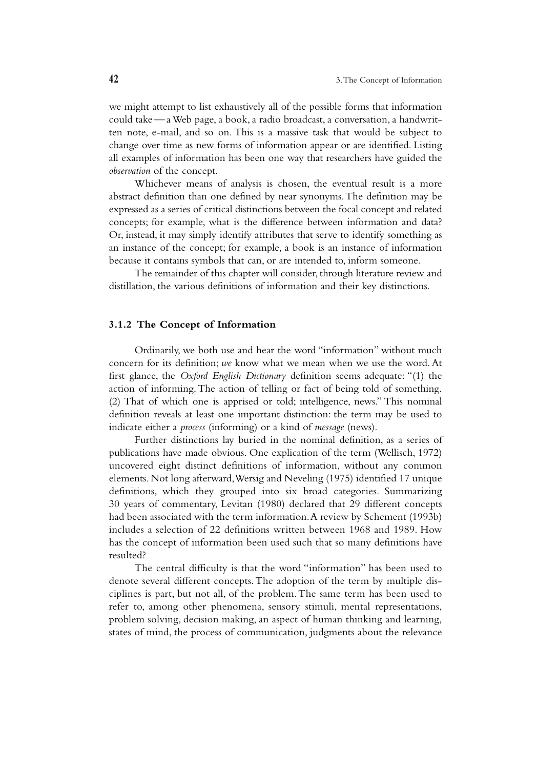we might attempt to list exhaustively all of the possible forms that information could take — a Web page, a book, a radio broadcast, a conversation, a handwritten note, e-mail, and so on. This is a massive task that would be subject to change over time as new forms of information appear or are identified. Listing all examples of information has been one way that researchers have guided the *observation* of the concept.

Whichever means of analysis is chosen, the eventual result is a more abstract definition than one defined by near synonyms.The definition may be expressed as a series of critical distinctions between the focal concept and related concepts; for example, what is the difference between information and data? Or, instead, it may simply identify attributes that serve to identify something as an instance of the concept; for example, a book is an instance of information because it contains symbols that can, or are intended to, inform someone.

The remainder of this chapter will consider, through literature review and distillation, the various definitions of information and their key distinctions.

#### **3.1.2 The Concept of Information**

Ordinarily, we both use and hear the word "information" without much concern for its definition; *we* know what we mean when we use the word. At first glance, the *Oxford English Dictionary* definition seems adequate: "(1) the action of informing.The action of telling or fact of being told of something. (2) That of which one is apprised or told; intelligence, news." This nominal definition reveals at least one important distinction: the term may be used to indicate either a *process* (informing) or a kind of *message* (news).

Further distinctions lay buried in the nominal definition, as a series of publications have made obvious. One explication of the term (Wellisch, 1972) uncovered eight distinct definitions of information, without any common elements. Not long afterward,Wersig and Neveling (1975) identified 17 unique definitions, which they grouped into six broad categories. Summarizing 30 years of commentary, Levitan (1980) declared that 29 different concepts had been associated with the term information.A review by Schement (1993b) includes a selection of 22 definitions written between 1968 and 1989. How has the concept of information been used such that so many definitions have resulted?

The central difficulty is that the word "information" has been used to denote several different concepts.The adoption of the term by multiple disciplines is part, but not all, of the problem.The same term has been used to refer to, among other phenomena, sensory stimuli, mental representations, problem solving, decision making, an aspect of human thinking and learning, states of mind, the process of communication, judgments about the relevance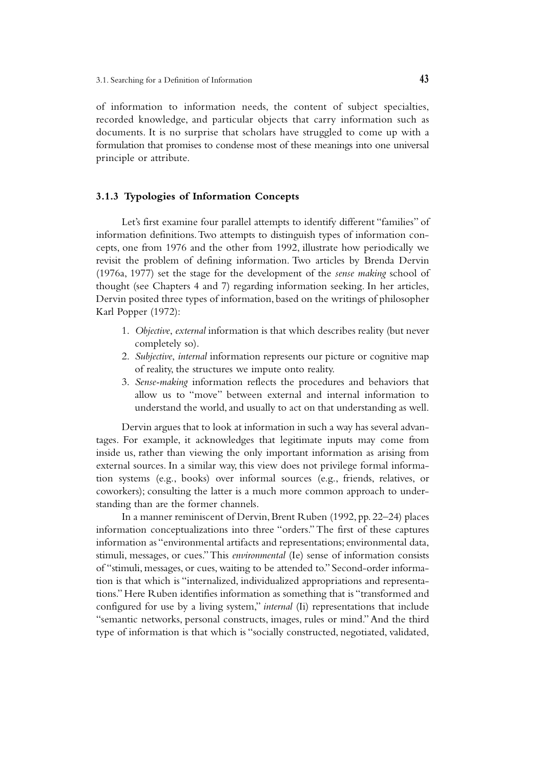of information to information needs, the content of subject specialties, recorded knowledge, and particular objects that carry information such as documents. It is no surprise that scholars have struggled to come up with a formulation that promises to condense most of these meanings into one universal principle or attribute.

## **3.1.3 Typologies of Information Concepts**

Let's first examine four parallel attempts to identify different "families" of information definitions.Two attempts to distinguish types of information concepts, one from 1976 and the other from 1992, illustrate how periodically we revisit the problem of defining information. Two articles by Brenda Dervin (1976a, 1977) set the stage for the development of the *sense making* school of thought (see Chapters 4 and 7) regarding information seeking. In her articles, Dervin posited three types of information, based on the writings of philosopher Karl Popper (1972):

- 1. *Objective*, *external* information is that which describes reality (but never completely so).
- 2. *Subjective*, *internal* information represents our picture or cognitive map of reality, the structures we impute onto reality.
- 3. *Sense-making* information reflects the procedures and behaviors that allow us to "move" between external and internal information to understand the world, and usually to act on that understanding as well.

Dervin argues that to look at information in such a way has several advantages. For example, it acknowledges that legitimate inputs may come from inside us, rather than viewing the only important information as arising from external sources. In a similar way, this view does not privilege formal information systems (e.g., books) over informal sources (e.g., friends, relatives, or coworkers); consulting the latter is a much more common approach to understanding than are the former channels.

In a manner reminiscent of Dervin, Brent Ruben (1992, pp. 22–24) places information conceptualizations into three "orders." The first of these captures information as "environmental artifacts and representations; environmental data, stimuli, messages, or cues."This *environmental* (Ie) sense of information consists of "stimuli, messages, or cues, waiting to be attended to." Second-order information is that which is "internalized, individualized appropriations and representations." Here Ruben identifies information as something that is "transformed and configured for use by a living system," *internal* (Ii) representations that include "semantic networks, personal constructs, images, rules or mind." And the third type of information is that which is "socially constructed, negotiated, validated,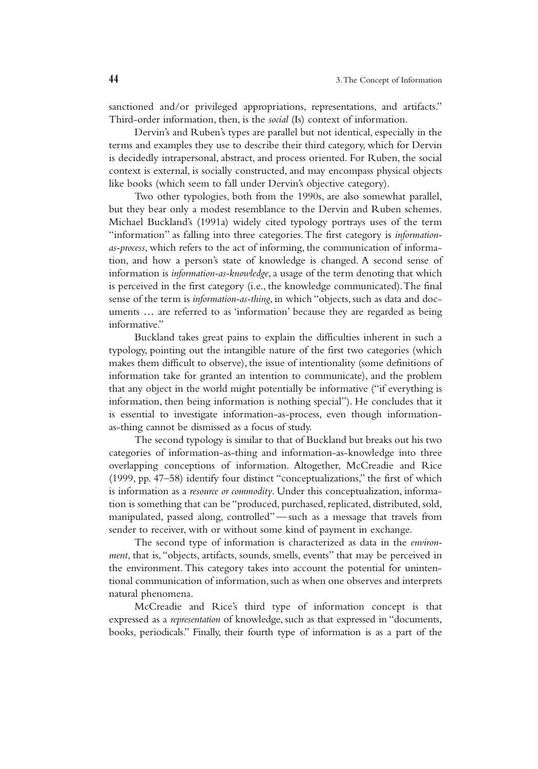sanctioned and/or privileged appropriations, representations, and artifacts." Third-order information, then, is the *social* (Is) context of information.

Dervin's and Ruben's types are parallel but not identical, especially in the terms and examples they use to describe their third category, which for Dervin is decidedly intrapersonal, abstract, and process oriented. For Ruben, the social context is external, is socially constructed, and may encompass physical objects like books (which seem to fall under Dervin's objective category).

Two other typologies, both from the 1990s, are also somewhat parallel, but they bear only a modest resemblance to the Dervin and Ruben schemes. Michael Buckland's (1991a) widely cited typology portrays uses of the term "information" as falling into three categories.The first category is *informationas-process*, which refers to the act of informing, the communication of information, and how a person's state of knowledge is changed. A second sense of information is *information-as-knowledge*, a usage of the term denoting that which is perceived in the first category (i.e., the knowledge communicated).The final sense of the term is *information-as-thing*, in which "objects, such as data and documents … are referred to as 'information' because they are regarded as being informative."

Buckland takes great pains to explain the difficulties inherent in such a typology, pointing out the intangible nature of the first two categories (which makes them difficult to observe), the issue of intentionality (some definitions of information take for granted an intention to communicate), and the problem that any object in the world might potentially be informative ("if everything is information, then being information is nothing special"). He concludes that it is essential to investigate information-as-process, even though informationas-thing cannot be dismissed as a focus of study.

The second typology is similar to that of Buckland but breaks out his two categories of information-as-thing and information-as-knowledge into three overlapping conceptions of information. Altogether, McCreadie and Rice (1999, pp. 47–58) identify four distinct "conceptualizations," the first of which is information as a *resource or commodity*. Under this conceptualization, information is something that can be "produced, purchased, replicated, distributed, sold, manipulated, passed along, controlled" — such as a message that travels from sender to receiver, with or without some kind of payment in exchange.

The second type of information is characterized as data in the *environment*, that is,"objects, artifacts, sounds, smells, events" that may be perceived in the environment. This category takes into account the potential for unintentional communication of information, such as when one observes and interprets natural phenomena.

McCreadie and Rice's third type of information concept is that expressed as a *representation* of knowledge, such as that expressed in "documents, books, periodicals." Finally, their fourth type of information is as a part of the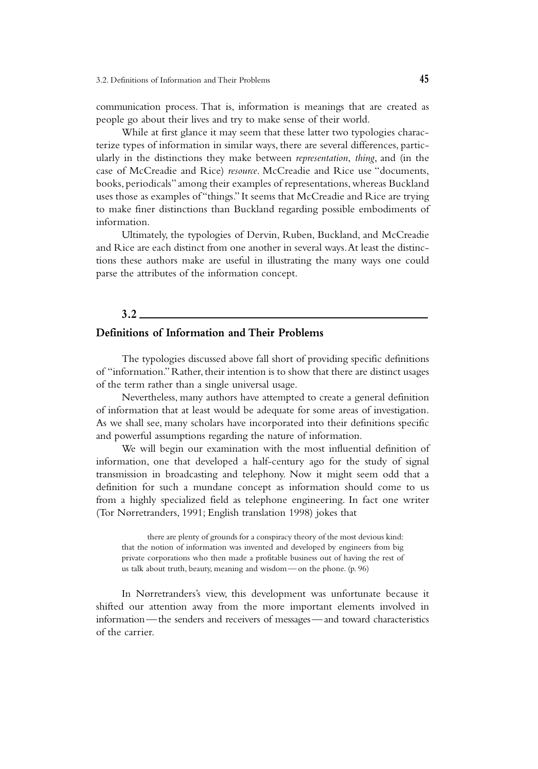communication process. That is, information is meanings that are created as people go about their lives and try to make sense of their world.

While at first glance it may seem that these latter two typologies characterize types of information in similar ways, there are several differences, particularly in the distinctions they make between *representation*, *thing*, and (in the case of McCreadie and Rice) *resource*. McCreadie and Rice use "documents, books, periodicals" among their examples of representations, whereas Buckland uses those as examples of "things." It seems that McCreadie and Rice are trying to make finer distinctions than Buckland regarding possible embodiments of information.

Ultimately, the typologies of Dervin, Ruben, Buckland, and McCreadie and Rice are each distinct from one another in several ways.At least the distinctions these authors make are useful in illustrating the many ways one could parse the attributes of the information concept.

## **3.2**

# **Definitions of Information and Their Problems**

The typologies discussed above fall short of providing specific definitions of "information." Rather, their intention is to show that there are distinct usages of the term rather than a single universal usage.

Nevertheless, many authors have attempted to create a general definition of information that at least would be adequate for some areas of investigation. As we shall see, many scholars have incorporated into their definitions specific and powerful assumptions regarding the nature of information.

We will begin our examination with the most influential definition of information, one that developed a half-century ago for the study of signal transmission in broadcasting and telephony. Now it might seem odd that a definition for such a mundane concept as information should come to us from a highly specialized field as telephone engineering. In fact one writer (Tor Nørretranders, 1991; English translation 1998) jokes that

there are plenty of grounds for a conspiracy theory of the most devious kind: that the notion of information was invented and developed by engineers from big private corporations who then made a profitable business out of having the rest of us talk about truth, beauty, meaning and wisdom — on the phone. (p. 96)

In Nørretranders's view, this development was unfortunate because it shifted our attention away from the more important elements involved in information—the senders and receivers of messages—and toward characteristics of the carrier.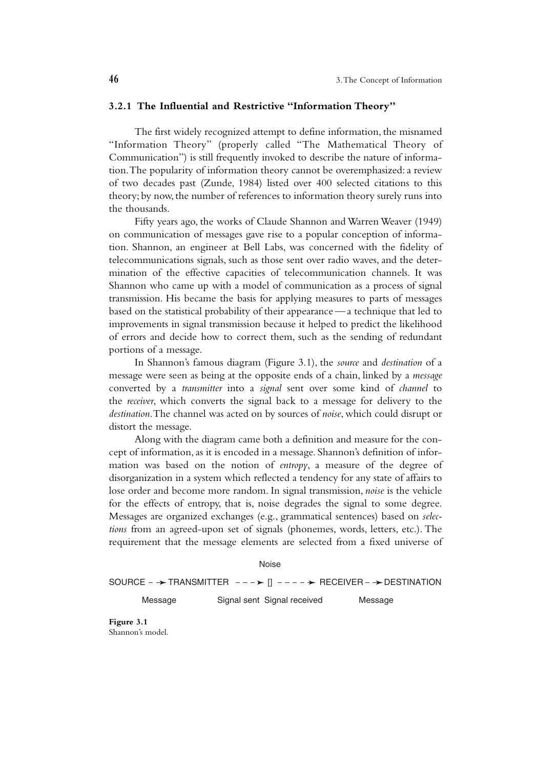#### **3.2.1 The Influential and Restrictive "Information Theory"**

The first widely recognized attempt to define information, the misnamed "Information Theory" (properly called "The Mathematical Theory of Communication") is still frequently invoked to describe the nature of information.The popularity of information theory cannot be overemphasized: a review of two decades past (Zunde, 1984) listed over 400 selected citations to this theory; by now, the number of references to information theory surely runs into the thousands.

Fifty years ago, the works of Claude Shannon and Warren Weaver (1949) on communication of messages gave rise to a popular conception of information. Shannon, an engineer at Bell Labs, was concerned with the fidelity of telecommunications signals, such as those sent over radio waves, and the determination of the effective capacities of telecommunication channels. It was Shannon who came up with a model of communication as a process of signal transmission. His became the basis for applying measures to parts of messages based on the statistical probability of their appearance — a technique that led to improvements in signal transmission because it helped to predict the likelihood of errors and decide how to correct them, such as the sending of redundant portions of a message.

In Shannon's famous diagram (Figure 3.1), the *source* and *destination* of a message were seen as being at the opposite ends of a chain, linked by a *message* converted by a *transmitter* into a *signal* sent over some kind of *channel* to the *receiver*, which converts the signal back to a message for delivery to the *destination*.The channel was acted on by sources of *noise*, which could disrupt or distort the message.

Along with the diagram came both a definition and measure for the concept of information, as it is encoded in a message. Shannon's definition of information was based on the notion of *entropy*, a measure of the degree of disorganization in a system which reflected a tendency for any state of affairs to lose order and become more random. In signal transmission, *noise* is the vehicle for the effects of entropy, that is, noise degrades the signal to some degree. Messages are organized exchanges (e.g., grammatical sentences) based on *selections* from an agreed-upon set of signals (phonemes, words, letters, etc.). The requirement that the message elements are selected from a fixed universe of

Noise

SOURCE -  $\rightarrow$  TRANSMITTER --->  $||$  ---- $\rightarrow$  RECEIVER -  $\rightarrow$  DESTINATION Message Signal sent Signal received Message

**Figure 3.1** Shannon's model.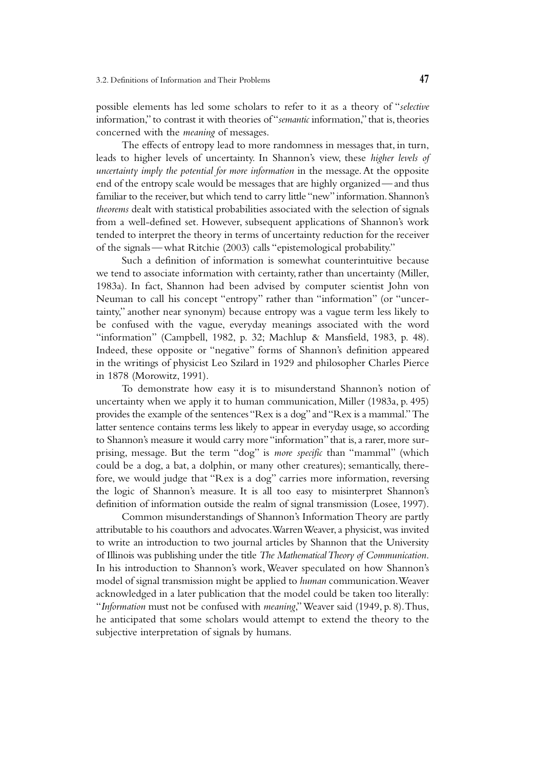possible elements has led some scholars to refer to it as a theory of "*selective* information," to contrast it with theories of "*semantic* information," that is, theories concerned with the *meaning* of messages.

The effects of entropy lead to more randomness in messages that, in turn, leads to higher levels of uncertainty. In Shannon's view, these *higher levels of uncertainty imply the potential for more information* in the message.At the opposite end of the entropy scale would be messages that are highly organized — and thus familiar to the receiver, but which tend to carry little "new" information. Shannon's *theorems* dealt with statistical probabilities associated with the selection of signals from a well-defined set. However, subsequent applications of Shannon's work tended to interpret the theory in terms of uncertainty reduction for the receiver of the signals — what Ritchie (2003) calls "epistemological probability."

Such a definition of information is somewhat counterintuitive because we tend to associate information with certainty, rather than uncertainty (Miller, 1983a). In fact, Shannon had been advised by computer scientist John von Neuman to call his concept "entropy" rather than "information" (or "uncertainty," another near synonym) because entropy was a vague term less likely to be confused with the vague, everyday meanings associated with the word "information" (Campbell, 1982, p. 32; Machlup & Mansfield, 1983, p. 48). Indeed, these opposite or "negative" forms of Shannon's definition appeared in the writings of physicist Leo Szilard in 1929 and philosopher Charles Pierce in 1878 (Morowitz, 1991).

To demonstrate how easy it is to misunderstand Shannon's notion of uncertainty when we apply it to human communication, Miller (1983a, p. 495) provides the example of the sentences "Rex is a dog"and "Rex is a mammal."The latter sentence contains terms less likely to appear in everyday usage, so according to Shannon's measure it would carry more "information" that is, a rarer, more surprising, message. But the term "dog" is *more specific* than "mammal" (which could be a dog, a bat, a dolphin, or many other creatures); semantically, therefore, we would judge that "Rex is a dog" carries more information, reversing the logic of Shannon's measure. It is all too easy to misinterpret Shannon's definition of information outside the realm of signal transmission (Losee, 1997).

Common misunderstandings of Shannon's Information Theory are partly attributable to his coauthors and advocates.Warren Weaver, a physicist, was invited to write an introduction to two journal articles by Shannon that the University of Illinois was publishing under the title *The Mathematical Theory of Communication*. In his introduction to Shannon's work, Weaver speculated on how Shannon's model of signal transmission might be applied to *human* communication.Weaver acknowledged in a later publication that the model could be taken too literally: "*Information* must not be confused with *meaning*,"Weaver said (1949, p. 8).Thus, he anticipated that some scholars would attempt to extend the theory to the subjective interpretation of signals by humans.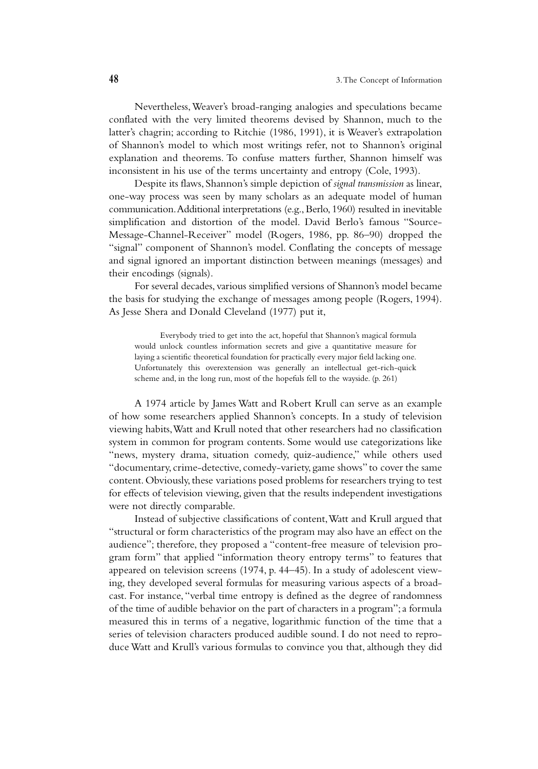Nevertheless,Weaver's broad-ranging analogies and speculations became conflated with the very limited theorems devised by Shannon, much to the latter's chagrin; according to Ritchie (1986, 1991), it is Weaver's extrapolation of Shannon's model to which most writings refer, not to Shannon's original explanation and theorems. To confuse matters further, Shannon himself was inconsistent in his use of the terms uncertainty and entropy (Cole, 1993).

Despite its flaws, Shannon's simple depiction of *signal transmission* as linear, one-way process was seen by many scholars as an adequate model of human communication.Additional interpretations (e.g., Berlo, 1960) resulted in inevitable simplification and distortion of the model. David Berlo's famous "Source-Message-Channel-Receiver" model (Rogers, 1986, pp. 86–90) dropped the "signal" component of Shannon's model. Conflating the concepts of message and signal ignored an important distinction between meanings (messages) and their encodings (signals).

For several decades, various simplified versions of Shannon's model became the basis for studying the exchange of messages among people (Rogers, 1994). As Jesse Shera and Donald Cleveland (1977) put it,

Everybody tried to get into the act, hopeful that Shannon's magical formula would unlock countless information secrets and give a quantitative measure for laying a scientific theoretical foundation for practically every major field lacking one. Unfortunately this overextension was generally an intellectual get-rich-quick scheme and, in the long run, most of the hopefuls fell to the wayside. (p. 261)

A 1974 article by James Watt and Robert Krull can serve as an example of how some researchers applied Shannon's concepts. In a study of television viewing habits,Watt and Krull noted that other researchers had no classification system in common for program contents. Some would use categorizations like "news, mystery drama, situation comedy, quiz-audience," while others used "documentary, crime-detective, comedy-variety, game shows" to cover the same content. Obviously, these variations posed problems for researchers trying to test for effects of television viewing, given that the results independent investigations were not directly comparable.

Instead of subjective classifications of content,Watt and Krull argued that "structural or form characteristics of the program may also have an effect on the audience"; therefore, they proposed a "content-free measure of television program form" that applied "information theory entropy terms" to features that appeared on television screens (1974, p. 44–45). In a study of adolescent viewing, they developed several formulas for measuring various aspects of a broadcast. For instance,"verbal time entropy is defined as the degree of randomness of the time of audible behavior on the part of characters in a program"; a formula measured this in terms of a negative, logarithmic function of the time that a series of television characters produced audible sound. I do not need to reproduce Watt and Krull's various formulas to convince you that, although they did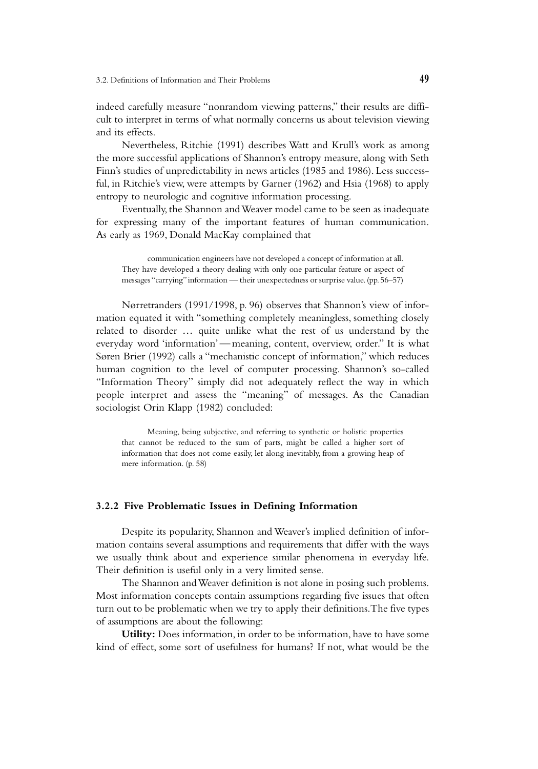indeed carefully measure "nonrandom viewing patterns," their results are difficult to interpret in terms of what normally concerns us about television viewing and its effects.

Nevertheless, Ritchie (1991) describes Watt and Krull's work as among the more successful applications of Shannon's entropy measure, along with Seth Finn's studies of unpredictability in news articles (1985 and 1986). Less successful, in Ritchie's view, were attempts by Garner (1962) and Hsia (1968) to apply entropy to neurologic and cognitive information processing.

Eventually, the Shannon and Weaver model came to be seen as inadequate for expressing many of the important features of human communication. As early as 1969, Donald MacKay complained that

communication engineers have not developed a concept of information at all. They have developed a theory dealing with only one particular feature or aspect of messages "carrying"information — their unexpectedness or surprise value.(pp.56–57)

Nørretranders (1991/1998, p. 96) observes that Shannon's view of information equated it with "something completely meaningless, something closely related to disorder … quite unlike what the rest of us understand by the everyday word 'information' — meaning, content, overview, order." It is what Søren Brier (1992) calls a "mechanistic concept of information," which reduces human cognition to the level of computer processing. Shannon's so-called "Information Theory" simply did not adequately reflect the way in which people interpret and assess the "meaning" of messages. As the Canadian sociologist Orin Klapp (1982) concluded:

Meaning, being subjective, and referring to synthetic or holistic properties that cannot be reduced to the sum of parts, might be called a higher sort of information that does not come easily, let along inevitably, from a growing heap of mere information. (p. 58)

#### **3.2.2 Five Problematic Issues in Defining Information**

Despite its popularity, Shannon and Weaver's implied definition of information contains several assumptions and requirements that differ with the ways we usually think about and experience similar phenomena in everyday life. Their definition is useful only in a very limited sense.

The Shannon and Weaver definition is not alone in posing such problems. Most information concepts contain assumptions regarding five issues that often turn out to be problematic when we try to apply their definitions.The five types of assumptions are about the following:

**Utility:** Does information, in order to be information, have to have some kind of effect, some sort of usefulness for humans? If not, what would be the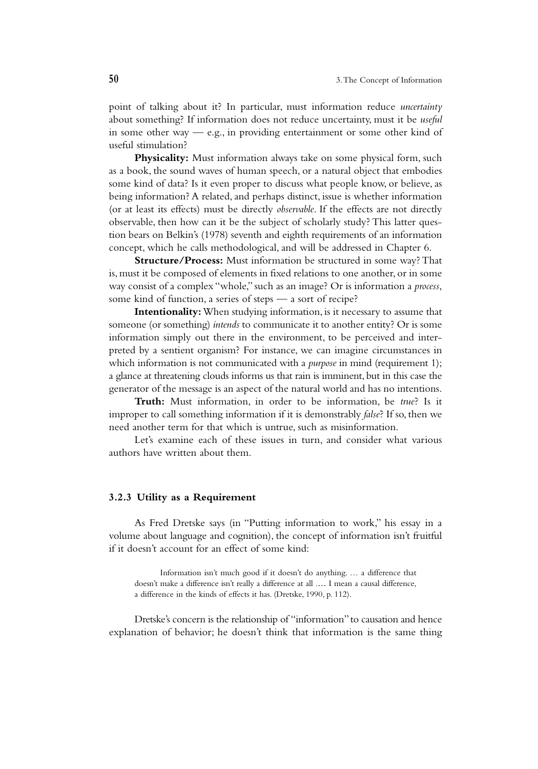point of talking about it? In particular, must information reduce *uncertainty* about something? If information does not reduce uncertainty, must it be *useful* in some other way — e.g., in providing entertainment or some other kind of useful stimulation?

**Physicality:** Must information always take on some physical form, such as a book, the sound waves of human speech, or a natural object that embodies some kind of data? Is it even proper to discuss what people know, or believe, as being information? A related, and perhaps distinct, issue is whether information (or at least its effects) must be directly *observable*. If the effects are not directly observable, then how can it be the subject of scholarly study? This latter question bears on Belkin's (1978) seventh and eighth requirements of an information concept, which he calls methodological, and will be addressed in Chapter 6.

**Structure/Process:** Must information be structured in some way? That is, must it be composed of elements in fixed relations to one another, or in some way consist of a complex "whole," such as an image? Or is information a *process*, some kind of function, a series of steps — a sort of recipe?

**Intentionality:**When studying information, is it necessary to assume that someone (or something) *intends* to communicate it to another entity? Or is some information simply out there in the environment, to be perceived and interpreted by a sentient organism? For instance, we can imagine circumstances in which information is not communicated with a *purpose* in mind (requirement 1); a glance at threatening clouds informs us that rain is imminent, but in this case the generator of the message is an aspect of the natural world and has no intentions.

**Truth:** Must information, in order to be information, be *true*? Is it improper to call something information if it is demonstrably *false*? If so, then we need another term for that which is untrue, such as misinformation.

Let's examine each of these issues in turn, and consider what various authors have written about them.

### **3.2.3 Utility as a Requirement**

As Fred Dretske says (in "Putting information to work," his essay in a volume about language and cognition), the concept of information isn't fruitful if it doesn't account for an effect of some kind:

Information isn't much good if it doesn't do anything. … a difference that doesn't make a difference isn't really a difference at all .… I mean a causal difference, a difference in the kinds of effects it has. (Dretske, 1990, p. 112).

Dretske's concern is the relationship of "information"to causation and hence explanation of behavior; he doesn't think that information is the same thing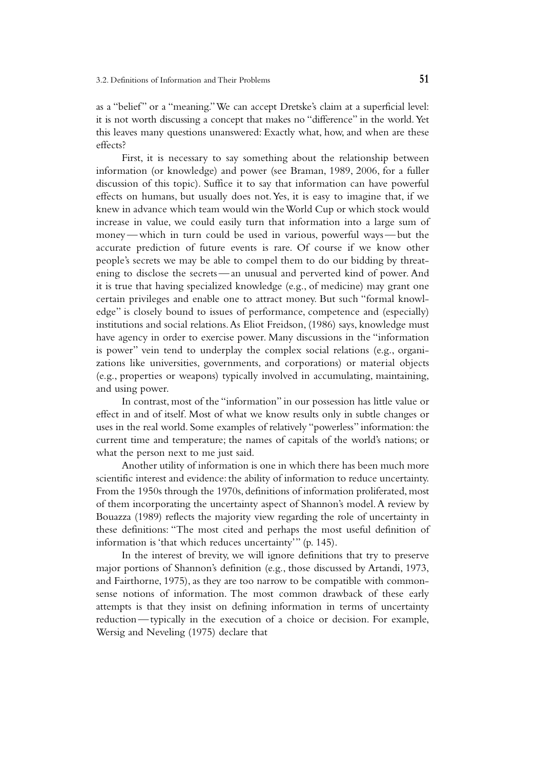as a "belief" or a "meaning."We can accept Dretske's claim at a superficial level: it is not worth discussing a concept that makes no "difference" in the world.Yet this leaves many questions unanswered: Exactly what, how, and when are these effects?

First, it is necessary to say something about the relationship between information (or knowledge) and power (see Braman, 1989, 2006, for a fuller discussion of this topic). Suffice it to say that information can have powerful effects on humans, but usually does not.Yes, it is easy to imagine that, if we knew in advance which team would win the World Cup or which stock would increase in value, we could easily turn that information into a large sum of money — which in turn could be used in various, powerful ways — but the accurate prediction of future events is rare. Of course if we know other people's secrets we may be able to compel them to do our bidding by threatening to disclose the secrets — an unusual and perverted kind of power. And it is true that having specialized knowledge (e.g., of medicine) may grant one certain privileges and enable one to attract money. But such "formal knowledge" is closely bound to issues of performance, competence and (especially) institutions and social relations.As Eliot Freidson, (1986) says, knowledge must have agency in order to exercise power. Many discussions in the "information is power" vein tend to underplay the complex social relations (e.g., organizations like universities, governments, and corporations) or material objects (e.g., properties or weapons) typically involved in accumulating, maintaining, and using power.

In contrast, most of the "information" in our possession has little value or effect in and of itself. Most of what we know results only in subtle changes or uses in the real world. Some examples of relatively "powerless" information: the current time and temperature; the names of capitals of the world's nations; or what the person next to me just said.

Another utility of information is one in which there has been much more scientific interest and evidence: the ability of information to reduce uncertainty. From the 1950s through the 1970s, definitions of information proliferated, most of them incorporating the uncertainty aspect of Shannon's model.A review by Bouazza (1989) reflects the majority view regarding the role of uncertainty in these definitions: "The most cited and perhaps the most useful definition of information is 'that which reduces uncertainty'" (p. 145).

In the interest of brevity, we will ignore definitions that try to preserve major portions of Shannon's definition (e.g., those discussed by Artandi, 1973, and Fairthorne, 1975), as they are too narrow to be compatible with commonsense notions of information. The most common drawback of these early attempts is that they insist on defining information in terms of uncertainty reduction — typically in the execution of a choice or decision. For example, Wersig and Neveling (1975) declare that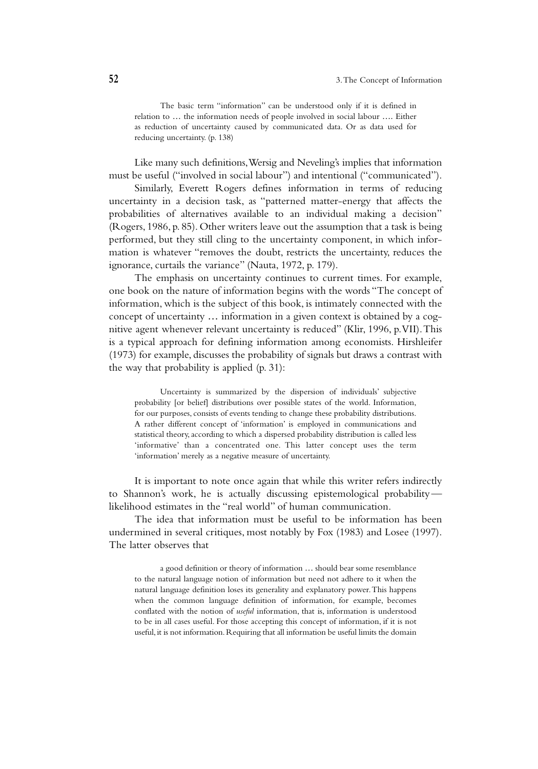The basic term "information" can be understood only if it is defined in relation to … the information needs of people involved in social labour …. Either as reduction of uncertainty caused by communicated data. Or as data used for reducing uncertainty. (p. 138)

Like many such definitions,Wersig and Neveling's implies that information must be useful ("involved in social labour") and intentional ("communicated").

Similarly, Everett Rogers defines information in terms of reducing uncertainty in a decision task, as "patterned matter-energy that affects the probabilities of alternatives available to an individual making a decision" (Rogers, 1986, p. 85). Other writers leave out the assumption that a task is being performed, but they still cling to the uncertainty component, in which information is whatever "removes the doubt, restricts the uncertainty, reduces the ignorance, curtails the variance" (Nauta, 1972, p. 179).

The emphasis on uncertainty continues to current times. For example, one book on the nature of information begins with the words "The concept of information, which is the subject of this book, is intimately connected with the concept of uncertainty … information in a given context is obtained by a cognitive agent whenever relevant uncertainty is reduced" (Klir, 1996, p.VII).This is a typical approach for defining information among economists. Hirshleifer (1973) for example, discusses the probability of signals but draws a contrast with the way that probability is applied (p. 31):

Uncertainty is summarized by the dispersion of individuals' subjective probability [or belief] distributions over possible states of the world. Information, for our purposes, consists of events tending to change these probability distributions. A rather different concept of 'information' is employed in communications and statistical theory, according to which a dispersed probability distribution is called less 'informative' than a concentrated one. This latter concept uses the term 'information' merely as a negative measure of uncertainty.

It is important to note once again that while this writer refers indirectly to Shannon's work, he is actually discussing epistemological probability likelihood estimates in the "real world" of human communication.

The idea that information must be useful to be information has been undermined in several critiques, most notably by Fox (1983) and Losee (1997). The latter observes that

a good definition or theory of information … should bear some resemblance to the natural language notion of information but need not adhere to it when the natural language definition loses its generality and explanatory power.This happens when the common language definition of information, for example, becomes conflated with the notion of *useful* information, that is, information is understood to be in all cases useful. For those accepting this concept of information, if it is not useful, it is not information. Requiring that all information be useful limits the domain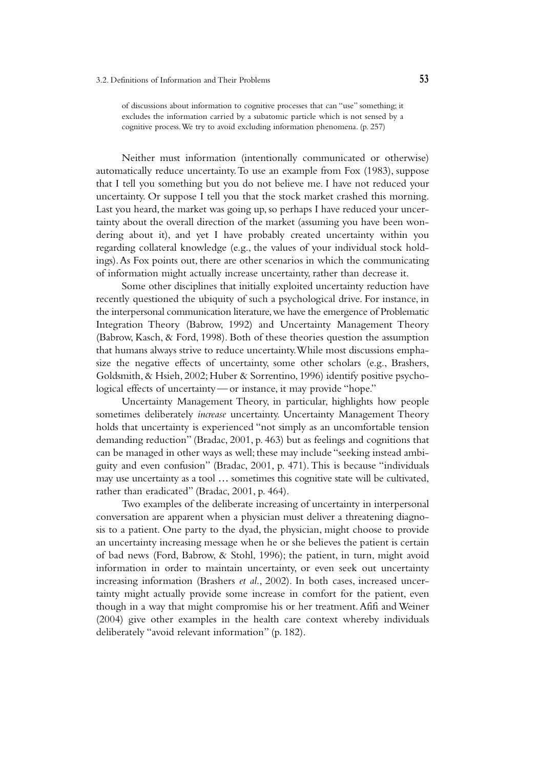of discussions about information to cognitive processes that can "use" something; it excludes the information carried by a subatomic particle which is not sensed by a cognitive process.We try to avoid excluding information phenomena. (p. 257)

Neither must information (intentionally communicated or otherwise) automatically reduce uncertainty.To use an example from Fox (1983), suppose that I tell you something but you do not believe me. I have not reduced your uncertainty. Or suppose I tell you that the stock market crashed this morning. Last you heard, the market was going up, so perhaps I have reduced your uncertainty about the overall direction of the market (assuming you have been wondering about it), and yet I have probably created uncertainty within you regarding collateral knowledge (e.g., the values of your individual stock holdings).As Fox points out, there are other scenarios in which the communicating of information might actually increase uncertainty, rather than decrease it.

Some other disciplines that initially exploited uncertainty reduction have recently questioned the ubiquity of such a psychological drive. For instance, in the interpersonal communication literature, we have the emergence of Problematic Integration Theory (Babrow, 1992) and Uncertainty Management Theory (Babrow, Kasch, & Ford, 1998). Both of these theories question the assumption that humans always strive to reduce uncertainty.While most discussions emphasize the negative effects of uncertainty, some other scholars (e.g., Brashers, Goldsmith, & Hsieh, 2002; Huber & Sorrentino, 1996) identify positive psychological effects of uncertainty — or instance, it may provide "hope."

Uncertainty Management Theory, in particular, highlights how people sometimes deliberately *increase* uncertainty. Uncertainty Management Theory holds that uncertainty is experienced "not simply as an uncomfortable tension demanding reduction" (Bradac, 2001, p. 463) but as feelings and cognitions that can be managed in other ways as well; these may include "seeking instead ambiguity and even confusion" (Bradac, 2001, p. 471). This is because "individuals may use uncertainty as a tool … sometimes this cognitive state will be cultivated, rather than eradicated" (Bradac, 2001, p. 464).

Two examples of the deliberate increasing of uncertainty in interpersonal conversation are apparent when a physician must deliver a threatening diagnosis to a patient. One party to the dyad, the physician, might choose to provide an uncertainty increasing message when he or she believes the patient is certain of bad news (Ford, Babrow, & Stohl, 1996); the patient, in turn, might avoid information in order to maintain uncertainty, or even seek out uncertainty increasing information (Brashers *et al*., 2002). In both cases, increased uncertainty might actually provide some increase in comfort for the patient, even though in a way that might compromise his or her treatment.Afifi and Weiner (2004) give other examples in the health care context whereby individuals deliberately "avoid relevant information" (p. 182).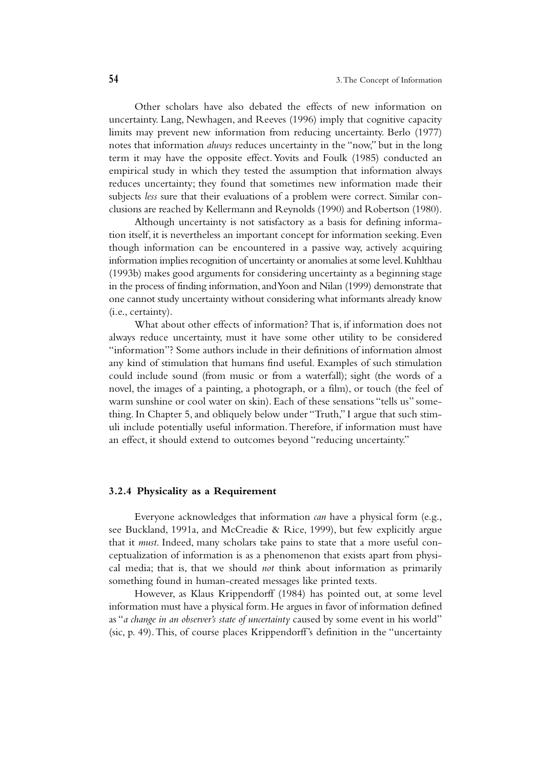Other scholars have also debated the effects of new information on uncertainty. Lang, Newhagen, and Reeves (1996) imply that cognitive capacity limits may prevent new information from reducing uncertainty. Berlo (1977) notes that information *always* reduces uncertainty in the "now," but in the long term it may have the opposite effect.Yovits and Foulk (1985) conducted an empirical study in which they tested the assumption that information always reduces uncertainty; they found that sometimes new information made their subjects *less* sure that their evaluations of a problem were correct. Similar conclusions are reached by Kellermann and Reynolds (1990) and Robertson (1980).

Although uncertainty is not satisfactory as a basis for defining information itself, it is nevertheless an important concept for information seeking. Even though information can be encountered in a passive way, actively acquiring information implies recognition of uncertainty or anomalies at some level.Kuhlthau (1993b) makes good arguments for considering uncertainty as a beginning stage in the process of finding information,and Yoon and Nilan (1999) demonstrate that one cannot study uncertainty without considering what informants already know (i.e., certainty).

What about other effects of information? That is, if information does not always reduce uncertainty, must it have some other utility to be considered "information"? Some authors include in their definitions of information almost any kind of stimulation that humans find useful. Examples of such stimulation could include sound (from music or from a waterfall); sight (the words of a novel, the images of a painting, a photograph, or a film), or touch (the feel of warm sunshine or cool water on skin). Each of these sensations "tells us" something. In Chapter 5, and obliquely below under "Truth," I argue that such stimuli include potentially useful information.Therefore, if information must have an effect, it should extend to outcomes beyond "reducing uncertainty."

## **3.2.4 Physicality as a Requirement**

Everyone acknowledges that information *can* have a physical form (e.g., see Buckland, 1991a, and McCreadie & Rice, 1999), but few explicitly argue that it *must*. Indeed, many scholars take pains to state that a more useful conceptualization of information is as a phenomenon that exists apart from physical media; that is, that we should *not* think about information as primarily something found in human-created messages like printed texts.

However, as Klaus Krippendorff (1984) has pointed out, at some level information must have a physical form. He argues in favor of information defined as "*a change in an observer's state of uncertainty* caused by some event in his world" (sic, p. 49).This, of course places Krippendorff's definition in the "uncertainty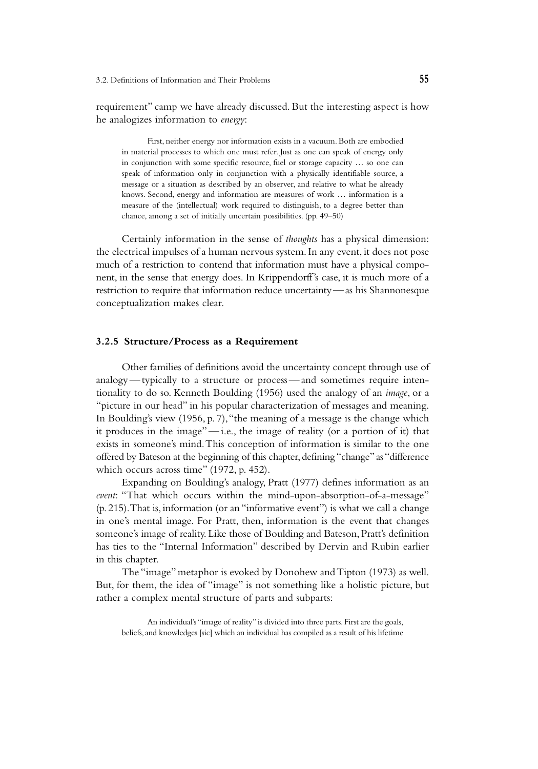requirement" camp we have already discussed. But the interesting aspect is how he analogizes information to *energy*:

First, neither energy nor information exists in a vacuum. Both are embodied in material processes to which one must refer. Just as one can speak of energy only in conjunction with some specific resource, fuel or storage capacity … so one can speak of information only in conjunction with a physically identifiable source, a message or a situation as described by an observer, and relative to what he already knows. Second, energy and information are measures of work … information is a measure of the (intellectual) work required to distinguish, to a degree better than chance, among a set of initially uncertain possibilities. (pp. 49–50)

Certainly information in the sense of *thoughts* has a physical dimension: the electrical impulses of a human nervous system. In any event, it does not pose much of a restriction to contend that information must have a physical component, in the sense that energy does. In Krippendorff's case, it is much more of a restriction to require that information reduce uncertainty—as his Shannonesque conceptualization makes clear.

## **3.2.5 Structure/Process as a Requirement**

Other families of definitions avoid the uncertainty concept through use of analogy — typically to a structure or process — and sometimes require intentionality to do so. Kenneth Boulding (1956) used the analogy of an *image*, or a "picture in our head" in his popular characterization of messages and meaning. In Boulding's view (1956, p. 7), "the meaning of a message is the change which it produces in the image" — i.e., the image of reality (or a portion of it) that exists in someone's mind.This conception of information is similar to the one offered by Bateson at the beginning of this chapter, defining "change" as "difference which occurs across time" (1972, p. 452).

Expanding on Boulding's analogy, Pratt (1977) defines information as an *event*: "That which occurs within the mind-upon-absorption-of-a-message" (p. 215).That is, information (or an "informative event") is what we call a change in one's mental image. For Pratt, then, information is the event that changes someone's image of reality. Like those of Boulding and Bateson, Pratt's definition has ties to the "Internal Information" described by Dervin and Rubin earlier in this chapter.

The "image" metaphor is evoked by Donohew and Tipton (1973) as well. But, for them, the idea of "image" is not something like a holistic picture, but rather a complex mental structure of parts and subparts:

An individual's "image of reality"is divided into three parts.First are the goals, beliefs, and knowledges [sic] which an individual has compiled as a result of his lifetime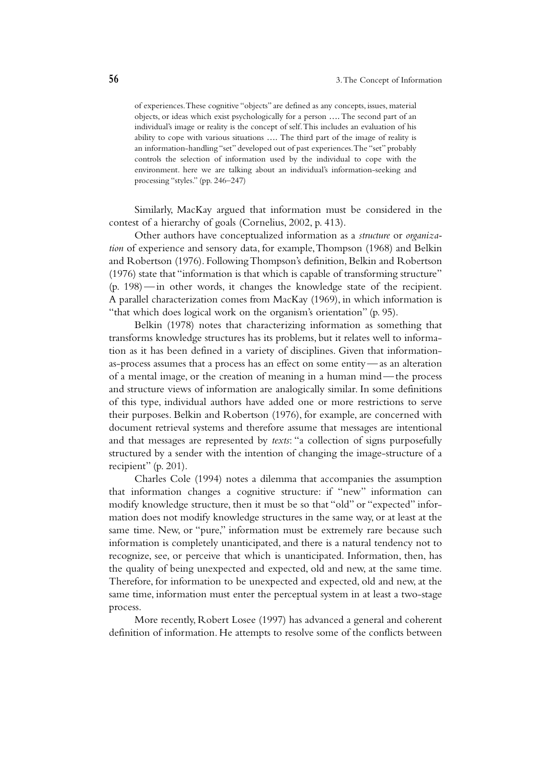of experiences.These cognitive "objects" are defined as any concepts, issues, material objects, or ideas which exist psychologically for a person …. The second part of an individual's image or reality is the concept of self.This includes an evaluation of his ability to cope with various situations …. The third part of the image of reality is an information-handling "set" developed out of past experiences.The "set" probably controls the selection of information used by the individual to cope with the environment. here we are talking about an individual's information-seeking and processing "styles." (pp. 246–247)

Similarly, MacKay argued that information must be considered in the contest of a hierarchy of goals (Cornelius, 2002, p. 413).

Other authors have conceptualized information as a *structure* or *organization* of experience and sensory data, for example,Thompson (1968) and Belkin and Robertson (1976). Following Thompson's definition, Belkin and Robertson (1976) state that "information is that which is capable of transforming structure" (p. 198) — in other words, it changes the knowledge state of the recipient. A parallel characterization comes from MacKay (1969), in which information is "that which does logical work on the organism's orientation" (p. 95).

Belkin (1978) notes that characterizing information as something that transforms knowledge structures has its problems, but it relates well to information as it has been defined in a variety of disciplines. Given that informationas-process assumes that a process has an effect on some entity — as an alteration of a mental image, or the creation of meaning in a human mind — the process and structure views of information are analogically similar. In some definitions of this type, individual authors have added one or more restrictions to serve their purposes. Belkin and Robertson (1976), for example, are concerned with document retrieval systems and therefore assume that messages are intentional and that messages are represented by *texts*: "a collection of signs purposefully structured by a sender with the intention of changing the image-structure of a recipient" (p. 201).

Charles Cole (1994) notes a dilemma that accompanies the assumption that information changes a cognitive structure: if "new" information can modify knowledge structure, then it must be so that "old" or "expected" information does not modify knowledge structures in the same way, or at least at the same time. New, or "pure," information must be extremely rare because such information is completely unanticipated, and there is a natural tendency not to recognize, see, or perceive that which is unanticipated. Information, then, has the quality of being unexpected and expected, old and new, at the same time. Therefore, for information to be unexpected and expected, old and new, at the same time, information must enter the perceptual system in at least a two-stage process.

More recently, Robert Losee (1997) has advanced a general and coherent definition of information. He attempts to resolve some of the conflicts between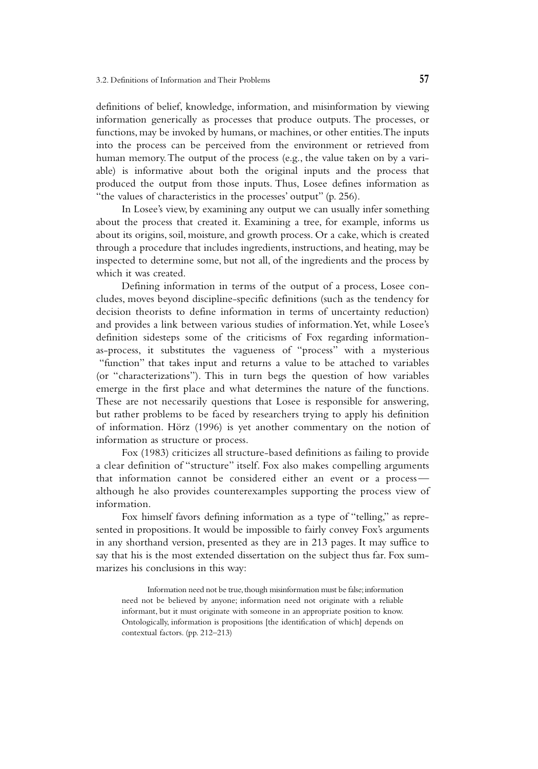definitions of belief, knowledge, information, and misinformation by viewing information generically as processes that produce outputs. The processes, or functions, may be invoked by humans, or machines, or other entities.The inputs into the process can be perceived from the environment or retrieved from human memory.The output of the process (e.g., the value taken on by a variable) is informative about both the original inputs and the process that produced the output from those inputs. Thus, Losee defines information as "the values of characteristics in the processes' output" (p. 256).

In Losee's view, by examining any output we can usually infer something about the process that created it. Examining a tree, for example, informs us about its origins, soil, moisture, and growth process. Or a cake, which is created through a procedure that includes ingredients, instructions, and heating, may be inspected to determine some, but not all, of the ingredients and the process by which it was created.

Defining information in terms of the output of a process, Losee concludes, moves beyond discipline-specific definitions (such as the tendency for decision theorists to define information in terms of uncertainty reduction) and provides a link between various studies of information.Yet, while Losee's definition sidesteps some of the criticisms of Fox regarding informationas-process, it substitutes the vagueness of "process" with a mysterious "function" that takes input and returns a value to be attached to variables (or "characterizations"). This in turn begs the question of how variables emerge in the first place and what determines the nature of the functions. These are not necessarily questions that Losee is responsible for answering, but rather problems to be faced by researchers trying to apply his definition of information. Hörz (1996) is yet another commentary on the notion of information as structure or process.

Fox (1983) criticizes all structure-based definitions as failing to provide a clear definition of "structure" itself. Fox also makes compelling arguments that information cannot be considered either an event or a process although he also provides counterexamples supporting the process view of information.

Fox himself favors defining information as a type of "telling," as represented in propositions. It would be impossible to fairly convey Fox's arguments in any shorthand version, presented as they are in 213 pages. It may suffice to say that his is the most extended dissertation on the subject thus far. Fox summarizes his conclusions in this way:

Information need not be true, though misinformation must be false; information need not be believed by anyone; information need not originate with a reliable informant, but it must originate with someone in an appropriate position to know. Ontologically, information is propositions [the identification of which] depends on contextual factors. (pp. 212–213)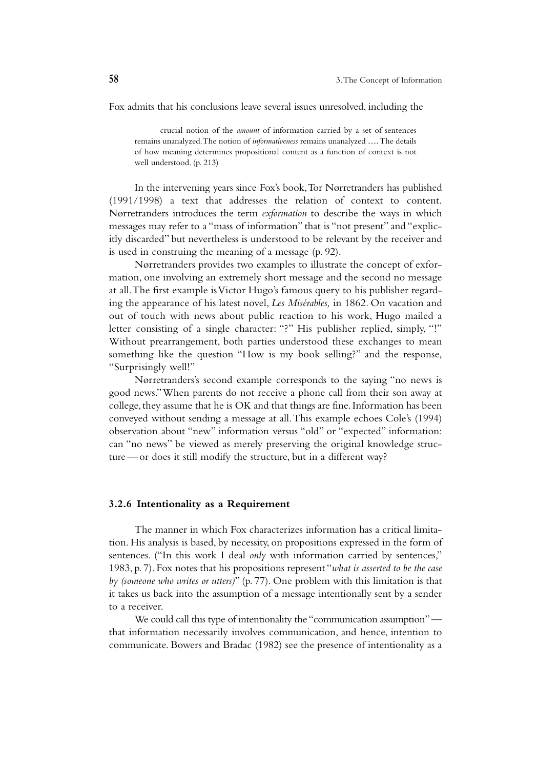Fox admits that his conclusions leave several issues unresolved, including the

crucial notion of the *amount* of information carried by a set of sentences remains unanalyzed.The notion of *informativeness* remains unanalyzed ….The details of how meaning determines propositional content as a function of context is not well understood. (p. 213)

In the intervening years since Fox's book,Tor Nørretranders has published (1991/1998) a text that addresses the relation of context to content. Nørretranders introduces the term *exformation* to describe the ways in which messages may refer to a "mass of information" that is "not present" and "explicitly discarded" but nevertheless is understood to be relevant by the receiver and is used in construing the meaning of a message (p. 92).

Nørretranders provides two examples to illustrate the concept of exformation, one involving an extremely short message and the second no message at all.The first example is Victor Hugo's famous query to his publisher regarding the appearance of his latest novel, *Les Misérables,* in 1862. On vacation and out of touch with news about public reaction to his work, Hugo mailed a letter consisting of a single character: "?" His publisher replied, simply, "!" Without prearrangement, both parties understood these exchanges to mean something like the question "How is my book selling?" and the response, "Surprisingly well!"

Nørretranders's second example corresponds to the saying "no news is good news."When parents do not receive a phone call from their son away at college, they assume that he is OK and that things are fine. Information has been conveyed without sending a message at all.This example echoes Cole's (1994) observation about "new" information versus "old" or "expected" information: can "no news" be viewed as merely preserving the original knowledge structure — or does it still modify the structure, but in a different way?

#### **3.2.6 Intentionality as a Requirement**

The manner in which Fox characterizes information has a critical limitation. His analysis is based, by necessity, on propositions expressed in the form of sentences. ("In this work I deal *only* with information carried by sentences," 1983, p. 7). Fox notes that his propositions represent "*what is asserted to be the case by (someone who writes or utters)*" (p. 77). One problem with this limitation is that it takes us back into the assumption of a message intentionally sent by a sender to a receiver.

We could call this type of intentionality the "communication assumption" that information necessarily involves communication, and hence, intention to communicate. Bowers and Bradac (1982) see the presence of intentionality as a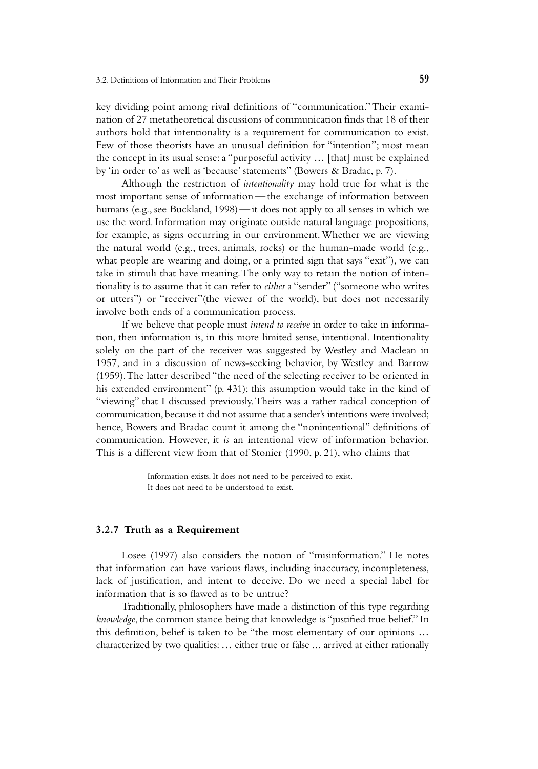key dividing point among rival definitions of "communication."Their examination of 27 metatheoretical discussions of communication finds that 18 of their authors hold that intentionality is a requirement for communication to exist. Few of those theorists have an unusual definition for "intention"; most mean the concept in its usual sense: a "purposeful activity … [that] must be explained by 'in order to' as well as 'because' statements" (Bowers & Bradac, p. 7).

Although the restriction of *intentionality* may hold true for what is the most important sense of information — the exchange of information between humans (e.g., see Buckland, 1998) — it does not apply to all senses in which we use the word. Information may originate outside natural language propositions, for example, as signs occurring in our environment.Whether we are viewing the natural world (e.g., trees, animals, rocks) or the human-made world (e.g., what people are wearing and doing, or a printed sign that says "exit"), we can take in stimuli that have meaning.The only way to retain the notion of intentionality is to assume that it can refer to *either* a "sender" ("someone who writes or utters") or "receiver"(the viewer of the world), but does not necessarily involve both ends of a communication process.

If we believe that people must *intend to receive* in order to take in information, then information is, in this more limited sense, intentional. Intentionality solely on the part of the receiver was suggested by Westley and Maclean in 1957, and in a discussion of news-seeking behavior, by Westley and Barrow (1959).The latter described "the need of the selecting receiver to be oriented in his extended environment" (p. 431); this assumption would take in the kind of "viewing" that I discussed previously.Theirs was a rather radical conception of communication, because it did not assume that a sender's intentions were involved; hence, Bowers and Bradac count it among the "nonintentional" definitions of communication. However, it *is* an intentional view of information behavior. This is a different view from that of Stonier (1990, p. 21), who claims that

> Information exists. It does not need to be perceived to exist. It does not need to be understood to exist.

#### **3.2.7 Truth as a Requirement**

Losee (1997) also considers the notion of "misinformation." He notes that information can have various flaws, including inaccuracy, incompleteness, lack of justification, and intent to deceive. Do we need a special label for information that is so flawed as to be untrue?

Traditionally, philosophers have made a distinction of this type regarding *knowledge*, the common stance being that knowledge is "justified true belief." In this definition, belief is taken to be "the most elementary of our opinions … characterized by two qualities:… either true or false .*..* arrived at either rationally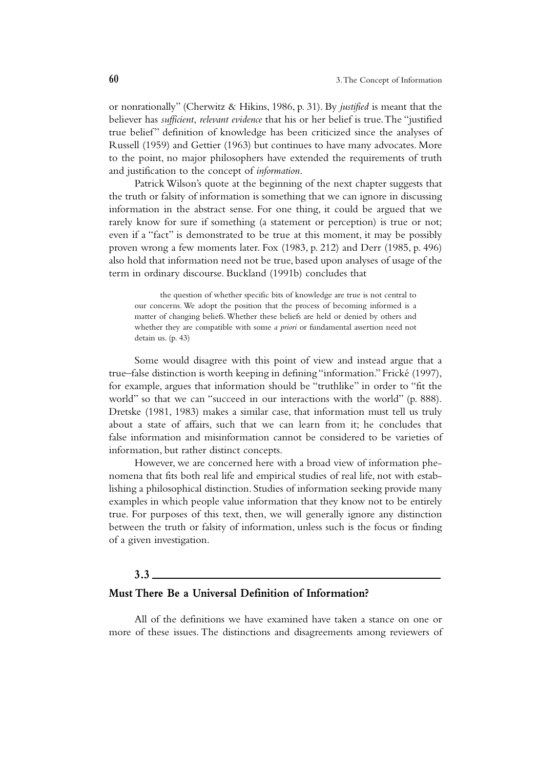or nonrationally" (Cherwitz & Hikins, 1986, p. 31). By *justified* is meant that the believer has *sufficient*, *relevant evidence* that his or her belief is true.The "justified true belief" definition of knowledge has been criticized since the analyses of Russell (1959) and Gettier (1963) but continues to have many advocates. More to the point, no major philosophers have extended the requirements of truth and justification to the concept of *information*.

Patrick Wilson's quote at the beginning of the next chapter suggests that the truth or falsity of information is something that we can ignore in discussing information in the abstract sense. For one thing, it could be argued that we rarely know for sure if something (a statement or perception) is true or not; even if a "fact" is demonstrated to be true at this moment, it may be possibly proven wrong a few moments later. Fox (1983, p. 212) and Derr (1985, p. 496) also hold that information need not be true, based upon analyses of usage of the term in ordinary discourse. Buckland (1991b) concludes that

the question of whether specific bits of knowledge are true is not central to our concerns. We adopt the position that the process of becoming informed is a matter of changing beliefs.Whether these beliefs are held or denied by others and whether they are compatible with some *a priori* or fundamental assertion need not detain us. (p. 43)

Some would disagree with this point of view and instead argue that a true–false distinction is worth keeping in defining "information." Frické (1997), for example, argues that information should be "truthlike" in order to "fit the world" so that we can "succeed in our interactions with the world" (p. 888). Dretske (1981, 1983) makes a similar case, that information must tell us truly about a state of affairs, such that we can learn from it; he concludes that false information and misinformation cannot be considered to be varieties of information, but rather distinct concepts.

However, we are concerned here with a broad view of information phenomena that fits both real life and empirical studies of real life, not with establishing a philosophical distinction. Studies of information seeking provide many examples in which people value information that they know not to be entirely true. For purposes of this text, then, we will generally ignore any distinction between the truth or falsity of information, unless such is the focus or finding of a given investigation.

#### **3.3**

## **Must There Be a Universal Definition of Information?**

All of the definitions we have examined have taken a stance on one or more of these issues. The distinctions and disagreements among reviewers of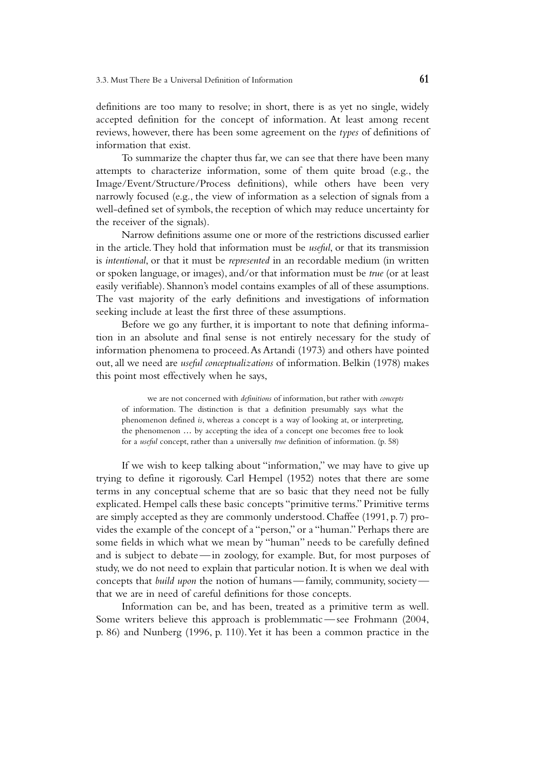definitions are too many to resolve; in short, there is as yet no single, widely accepted definition for the concept of information. At least among recent reviews, however, there has been some agreement on the *types* of definitions of information that exist.

To summarize the chapter thus far, we can see that there have been many attempts to characterize information, some of them quite broad (e.g., the Image/Event/Structure/Process definitions), while others have been very narrowly focused (e.g., the view of information as a selection of signals from a well-defined set of symbols, the reception of which may reduce uncertainty for the receiver of the signals).

Narrow definitions assume one or more of the restrictions discussed earlier in the article.They hold that information must be *useful*, or that its transmission is *intentional*, or that it must be *represented* in an recordable medium (in written or spoken language, or images), and/or that information must be *true* (or at least easily verifiable). Shannon's model contains examples of all of these assumptions. The vast majority of the early definitions and investigations of information seeking include at least the first three of these assumptions.

Before we go any further, it is important to note that defining information in an absolute and final sense is not entirely necessary for the study of information phenomena to proceed.As Artandi (1973) and others have pointed out, all we need are *useful conceptualizations* of information. Belkin (1978) makes this point most effectively when he says,

we are not concerned with *definitions* of information, but rather with *concepts* of information. The distinction is that a definition presumably says what the phenomenon defined *is*, whereas a concept is a way of looking at, or interpreting, the phenomenon … by accepting the idea of a concept one becomes free to look for a *useful* concept, rather than a universally *true* definition of information. (p. 58)

If we wish to keep talking about "information," we may have to give up trying to define it rigorously. Carl Hempel (1952) notes that there are some terms in any conceptual scheme that are so basic that they need not be fully explicated. Hempel calls these basic concepts "primitive terms." Primitive terms are simply accepted as they are commonly understood. Chaffee (1991, p. 7) provides the example of the concept of a "person," or a "human." Perhaps there are some fields in which what we mean by "human" needs to be carefully defined and is subject to debate — in zoology, for example. But, for most purposes of study, we do not need to explain that particular notion. It is when we deal with concepts that *build upon* the notion of humans — family, community, society that we are in need of careful definitions for those concepts.

Information can be, and has been, treated as a primitive term as well. Some writers believe this approach is problemmatic — see Frohmann (2004, p. 86) and Nunberg (1996, p. 110).Yet it has been a common practice in the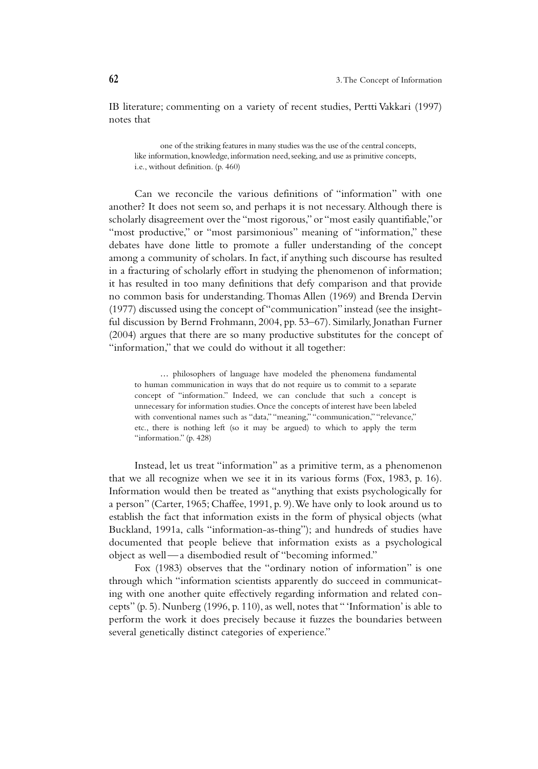IB literature; commenting on a variety of recent studies, Pertti Vakkari (1997) notes that

one of the striking features in many studies was the use of the central concepts, like information, knowledge, information need, seeking, and use as primitive concepts, i.e., without definition. (p. 460)

Can we reconcile the various definitions of "information" with one another? It does not seem so, and perhaps it is not necessary.Although there is scholarly disagreement over the "most rigorous," or "most easily quantifiable,"or "most productive," or "most parsimonious" meaning of "information," these debates have done little to promote a fuller understanding of the concept among a community of scholars. In fact, if anything such discourse has resulted in a fracturing of scholarly effort in studying the phenomenon of information; it has resulted in too many definitions that defy comparison and that provide no common basis for understanding.Thomas Allen (1969) and Brenda Dervin (1977) discussed using the concept of "communication" instead (see the insightful discussion by Bernd Frohmann, 2004, pp. 53–67). Similarly, Jonathan Furner (2004) argues that there are so many productive substitutes for the concept of "information," that we could do without it all together:

… philosophers of language have modeled the phenomena fundamental to human communication in ways that do not require us to commit to a separate concept of "information." Indeed, we can conclude that such a concept is unnecessary for information studies. Once the concepts of interest have been labeled with conventional names such as "data," "meaning," "communication," "relevance," etc., there is nothing left (so it may be argued) to which to apply the term "information." (p. 428)

Instead, let us treat "information" as a primitive term, as a phenomenon that we all recognize when we see it in its various forms (Fox, 1983, p. 16). Information would then be treated as "anything that exists psychologically for a person" (Carter, 1965; Chaffee, 1991, p. 9).We have only to look around us to establish the fact that information exists in the form of physical objects (what Buckland, 1991a, calls "information-as-thing"); and hundreds of studies have documented that people believe that information exists as a psychological object as well — a disembodied result of "becoming informed."

Fox (1983) observes that the "ordinary notion of information" is one through which "information scientists apparently do succeed in communicating with one another quite effectively regarding information and related concepts" (p. 5). Nunberg (1996, p. 110), as well, notes that " 'Information' is able to perform the work it does precisely because it fuzzes the boundaries between several genetically distinct categories of experience."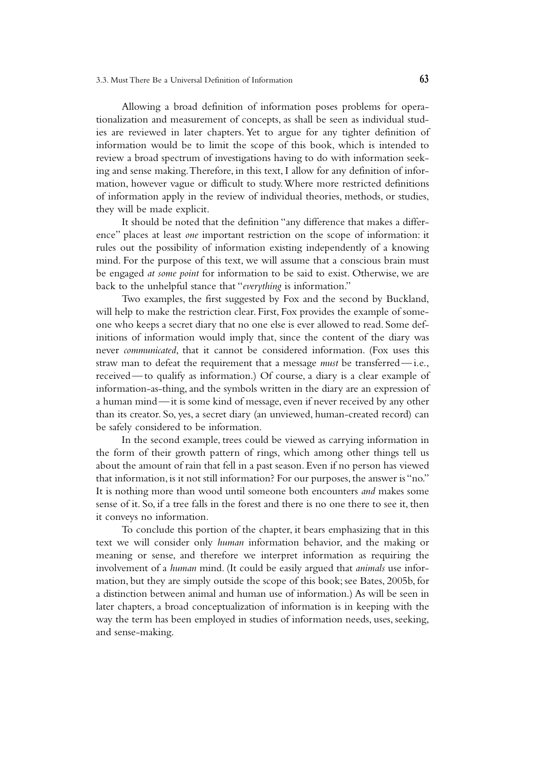Allowing a broad definition of information poses problems for operationalization and measurement of concepts, as shall be seen as individual studies are reviewed in later chapters. Yet to argue for any tighter definition of information would be to limit the scope of this book, which is intended to review a broad spectrum of investigations having to do with information seeking and sense making.Therefore, in this text, I allow for any definition of information, however vague or difficult to study.Where more restricted definitions of information apply in the review of individual theories, methods, or studies, they will be made explicit.

It should be noted that the definition "any difference that makes a difference" places at least *one* important restriction on the scope of information: it rules out the possibility of information existing independently of a knowing mind. For the purpose of this text, we will assume that a conscious brain must be engaged *at some point* for information to be said to exist. Otherwise, we are back to the unhelpful stance that "*everything* is information."

Two examples, the first suggested by Fox and the second by Buckland, will help to make the restriction clear. First, Fox provides the example of someone who keeps a secret diary that no one else is ever allowed to read. Some definitions of information would imply that, since the content of the diary was never *communicated*, that it cannot be considered information. (Fox uses this straw man to defeat the requirement that a message *must* be transferred — i.e., received — to qualify as information.) Of course, a diary is a clear example of information-as-thing, and the symbols written in the diary are an expression of a human mind — it is some kind of message, even if never received by any other than its creator. So, yes, a secret diary (an unviewed, human-created record) can be safely considered to be information.

In the second example, trees could be viewed as carrying information in the form of their growth pattern of rings, which among other things tell us about the amount of rain that fell in a past season. Even if no person has viewed that information, is it not still information? For our purposes, the answer is "no." It is nothing more than wood until someone both encounters *and* makes some sense of it. So, if a tree falls in the forest and there is no one there to see it, then it conveys no information.

To conclude this portion of the chapter, it bears emphasizing that in this text we will consider only *human* information behavior, and the making or meaning or sense, and therefore we interpret information as requiring the involvement of a *human* mind. (It could be easily argued that *animals* use information, but they are simply outside the scope of this book; see Bates, 2005b, for a distinction between animal and human use of information.) As will be seen in later chapters, a broad conceptualization of information is in keeping with the way the term has been employed in studies of information needs, uses, seeking, and sense-making.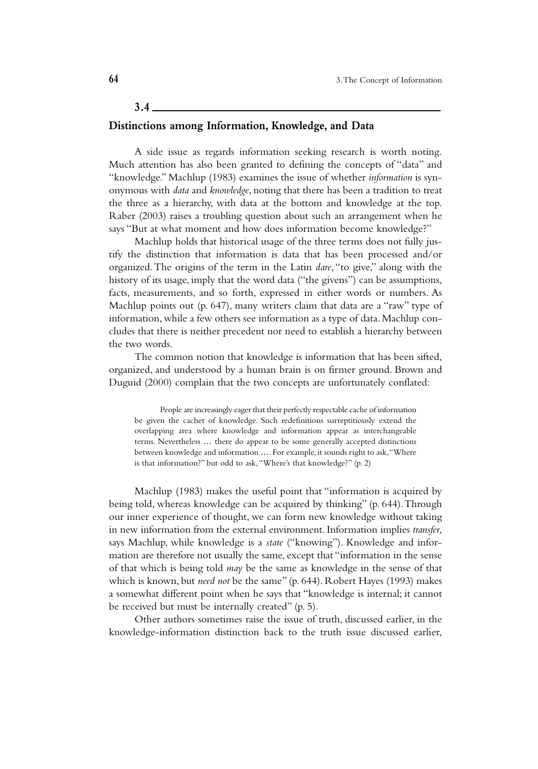#### **3.4**

# **Distinctions among Information, Knowledge, and Data**

A side issue as regards information seeking research is worth noting. Much attention has also been granted to defining the concepts of "data" and "knowledge." Machlup (1983) examines the issue of whether *information* is synonymous with *data* and *knowledge*, noting that there has been a tradition to treat the three as a hierarchy, with data at the bottom and knowledge at the top. Raber (2003) raises a troubling question about such an arrangement when he says "But at what moment and how does information become knowledge?"

Machlup holds that historical usage of the three terms does not fully justify the distinction that information is data that has been processed and/or organized.The origins of the term in the Latin *dare*, "to give," along with the history of its usage, imply that the word data ("the givens") can be assumptions, facts, measurements, and so forth, expressed in either words or numbers. As Machlup points out (p. 647), many writers claim that data are a "raw" type of information, while a few others see information as a type of data. Machlup concludes that there is neither precedent nor need to establish a hierarchy between the two words.

The common notion that knowledge is information that has been sifted, organized, and understood by a human brain is on firmer ground. Brown and Duguid (2000) complain that the two concepts are unfortunately conflated:

People are increasingly eager that their perfectly respectable cache of information be given the cachet of knowledge. Such redefinitions surreptitiously extend the overlapping area where knowledge and information appear as interchangeable terms. Nevertheless … there do appear to be some generally accepted distinctions between knowledge and information .... For example, it sounds right to ask, "Where is that information?" but odd to ask,"Where's that knowledge?" (p. 2)

Machlup (1983) makes the useful point that "information is acquired by being told, whereas knowledge can be acquired by thinking" (p. 644).Through our inner experience of thought, we can form new knowledge without taking in new information from the external environment. Information implies *transfer*, says Machlup, while knowledge is a *state* ("knowing"). Knowledge and information are therefore not usually the same, except that "information in the sense of that which is being told *may* be the same as knowledge in the sense of that which is known, but *need not* be the same" (p. 644). Robert Hayes (1993) makes a somewhat different point when he says that "knowledge is internal; it cannot be received but must be internally created" (p. 5).

Other authors sometimes raise the issue of truth, discussed earlier, in the knowledge-information distinction back to the truth issue discussed earlier,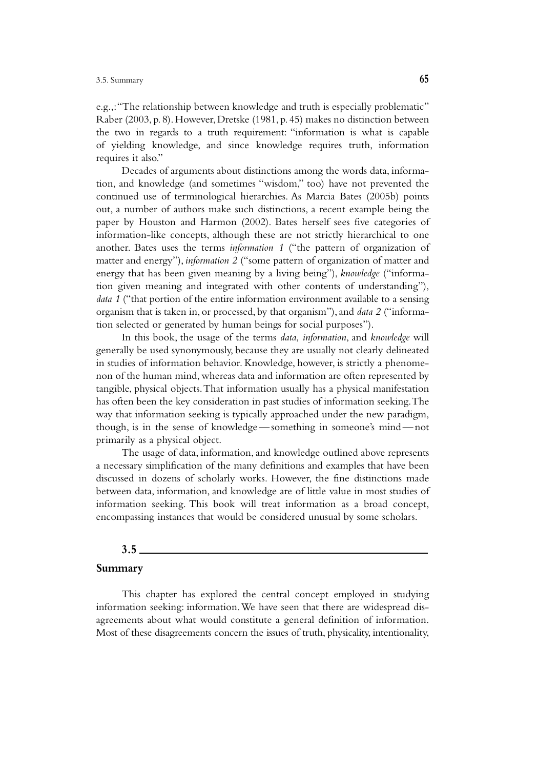e.g.,:"The relationship between knowledge and truth is especially problematic" Raber (2003,p.8).However,Dretske (1981,p.45) makes no distinction between the two in regards to a truth requirement: "information is what is capable of yielding knowledge, and since knowledge requires truth, information requires it also."

Decades of arguments about distinctions among the words data, information, and knowledge (and sometimes "wisdom," too) have not prevented the continued use of terminological hierarchies. As Marcia Bates (2005b) points out, a number of authors make such distinctions, a recent example being the paper by Houston and Harmon (2002). Bates herself sees five categories of information-like concepts, although these are not strictly hierarchical to one another. Bates uses the terms *information 1* ("the pattern of organization of matter and energy"), *information 2* ("some pattern of organization of matter and energy that has been given meaning by a living being"), *knowledge* ("information given meaning and integrated with other contents of understanding"), *data 1* ("that portion of the entire information environment available to a sensing organism that is taken in, or processed, by that organism"), and *data 2* ("information selected or generated by human beings for social purposes").

In this book, the usage of the terms *data*, *information*, and *knowledge* will generally be used synonymously, because they are usually not clearly delineated in studies of information behavior. Knowledge, however, is strictly a phenomenon of the human mind, whereas data and information are often represented by tangible, physical objects.That information usually has a physical manifestation has often been the key consideration in past studies of information seeking.The way that information seeking is typically approached under the new paradigm, though, is in the sense of knowledge — something in someone's mind — not primarily as a physical object.

The usage of data, information, and knowledge outlined above represents a necessary simplification of the many definitions and examples that have been discussed in dozens of scholarly works. However, the fine distinctions made between data, information, and knowledge are of little value in most studies of information seeking. This book will treat information as a broad concept, encompassing instances that would be considered unusual by some scholars.

## **3.5**

## **Summary**

This chapter has explored the central concept employed in studying information seeking: information.We have seen that there are widespread disagreements about what would constitute a general definition of information. Most of these disagreements concern the issues of truth, physicality, intentionality,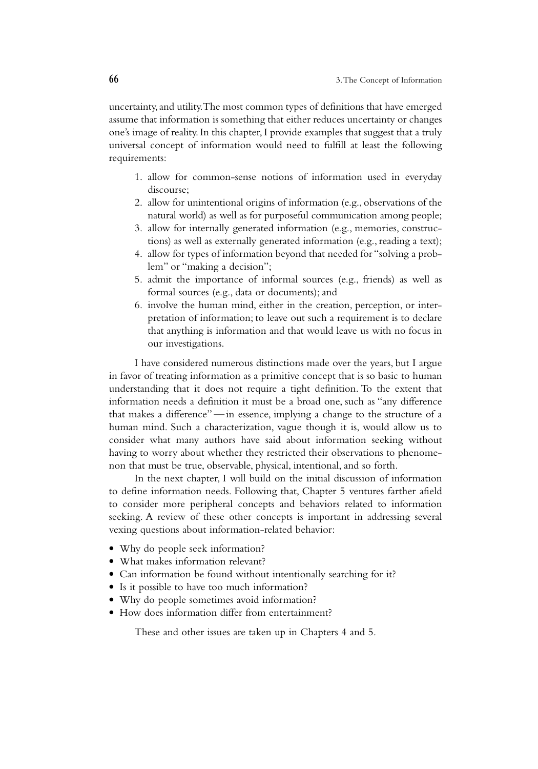uncertainty,and utility.The most common types of definitions that have emerged assume that information is something that either reduces uncertainty or changes one's image of reality. In this chapter, I provide examples that suggest that a truly universal concept of information would need to fulfill at least the following requirements:

- 1. allow for common-sense notions of information used in everyday discourse;
- 2. allow for unintentional origins of information (e.g., observations of the natural world) as well as for purposeful communication among people;
- 3. allow for internally generated information (e.g., memories, constructions) as well as externally generated information (e.g., reading a text);
- 4. allow for types of information beyond that needed for "solving a problem" or "making a decision";
- 5. admit the importance of informal sources (e.g., friends) as well as formal sources (e.g., data or documents); and
- 6. involve the human mind, either in the creation, perception, or interpretation of information; to leave out such a requirement is to declare that anything is information and that would leave us with no focus in our investigations.

I have considered numerous distinctions made over the years, but I argue in favor of treating information as a primitive concept that is so basic to human understanding that it does not require a tight definition. To the extent that information needs a definition it must be a broad one, such as "any difference that makes a difference" — in essence, implying a change to the structure of a human mind. Such a characterization, vague though it is, would allow us to consider what many authors have said about information seeking without having to worry about whether they restricted their observations to phenomenon that must be true, observable, physical, intentional, and so forth.

In the next chapter, I will build on the initial discussion of information to define information needs. Following that, Chapter 5 ventures farther afield to consider more peripheral concepts and behaviors related to information seeking. A review of these other concepts is important in addressing several vexing questions about information-related behavior:

- Why do people seek information?
- What makes information relevant?
- Can information be found without intentionally searching for it?
- Is it possible to have too much information?
- Why do people sometimes avoid information?
- How does information differ from entertainment?

These and other issues are taken up in Chapters 4 and 5.